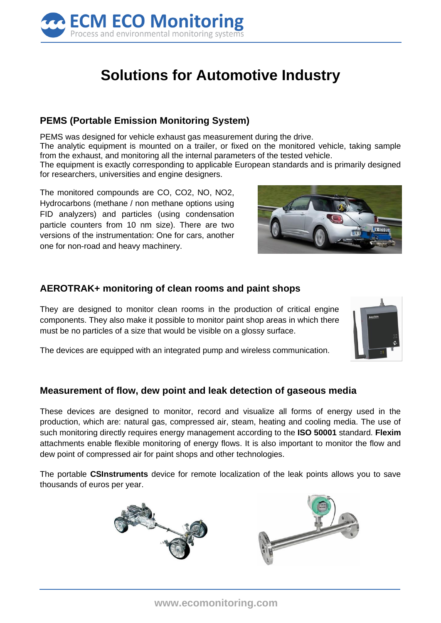

# **Solutions for Automotive Industry**

## **PEMS (Portable Emission Monitoring System)**

PEMS was designed for vehicle exhaust gas measurement during the drive.

The analytic equipment is mounted on a trailer, or fixed on the monitored vehicle, taking sample from the exhaust, and monitoring all the internal parameters of the tested vehicle.

The equipment is exactly corresponding to applicable European standards and is primarily designed for researchers, universities and engine designers.

The monitored compounds are CO, CO2, NO, NO2, Hydrocarbons (methane / non methane options using FID analyzers) and particles (using condensation particle counters from 10 nm size). There are two versions of the instrumentation: One for cars, another one for non-road and heavy machinery.



### **AEROTRAK+ monitoring of clean rooms and paint shops**

They are designed to monitor clean rooms in the production of critical engine components. They also make it possible to monitor paint shop areas in which there must be no particles of a size that would be visible on a glossy surface.



The devices are equipped with an integrated pump and wireless communication.

#### **Measurement of flow, dew point and leak detection of gaseous media**

These devices are designed to monitor, record and visualize all forms of energy used in the production, which are: natural gas, compressed air, steam, heating and cooling media. The use of such monitoring directly requires energy management according to the **ISO 50001** standard. **Flexim** attachments enable flexible monitoring of energy flows. It is also important to monitor the flow and dew point of compressed air for paint shops and other technologies.

The portable **CSInstruments** device for remote localization of the leak points allows you to save thousands of euros per year.